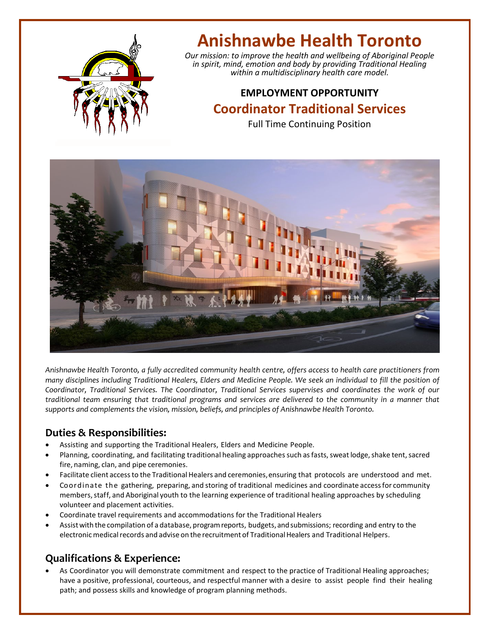

# **Anishnawbe Health Toronto**

*Our mission: to improve the health and wellbeing of Aboriginal People in spirit, mind, emotion and body by providing Traditional Healing within a multidisciplinary health care model.*

## **EMPLOYMENT OPPORTUNITY Coordinator Traditional Services**

Full Time Continuing Position



*Anishnawbe Health Toronto, a fully accredited community health centre, offers access to health care practitioners from many disciplines including Traditional Healers, Elders and Medicine People. We seek an individual to fill the position of Coordinator, Traditional Services. The Coordinator, Traditional Services supervises and coordinates the work of our traditional team ensuring that traditional programs and services are delivered to the community in a manner that supports and complements the vision, mission, beliefs, and principles of Anishnawbe Health Toronto.* 

#### **Duties & Responsibilities:**

- Assisting and supporting the Traditional Healers, Elders and Medicine People.
- Planning, coordinating, and facilitating traditional healing approaches such as fasts, sweat lodge, shake tent, sacred fire, naming, clan, and pipe ceremonies.
- Facilitate client accessto the Traditional Healers and ceremonies,ensuring that protocols are understood and met.
- Coordinate the gathering, preparing, and storing of traditional medicines and coordinate accessfor community members, staff, and Aboriginal youth to the learning experience of traditional healing approaches by scheduling volunteer and placement activities.
- Coordinate travel requirements and accommodations for the Traditional Healers
- Assist with the compilation of a database, program reports, budgets, and submissions; recording and entry to the electronic medical records and advise on the recruitment of Traditional Healers and Traditional Helpers.

### **Qualifications & Experience:**

• As Coordinator you will demonstrate commitment and respect to the practice of Traditional Healing approaches; have a positive, professional, courteous, and respectful manner with a desire to assist people find their healing path; and possess skills and knowledge of program planning methods.